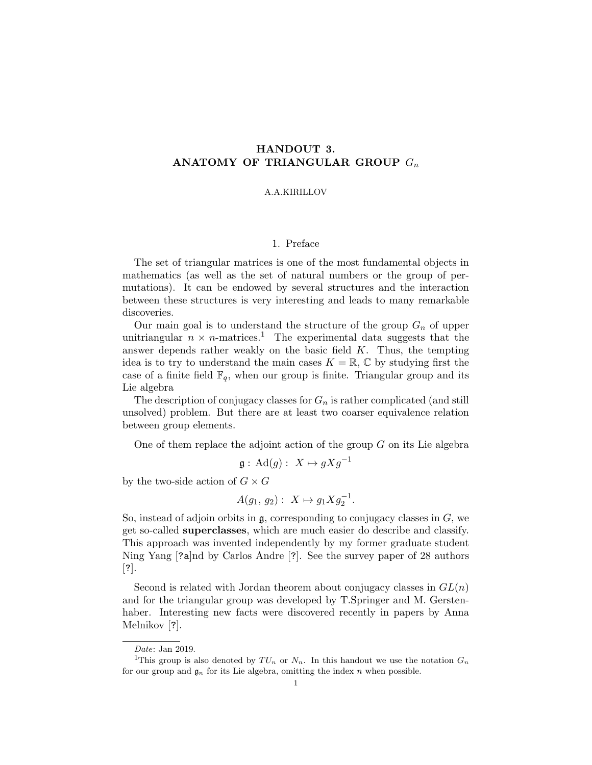# HANDOUT 3. ANATOMY OF TRIANGULAR GROUP  $G_n$

### A.A.KIRILLOV

# 1. Preface

The set of triangular matrices is one of the most fundamental objects in mathematics (as well as the set of natural numbers or the group of permutations). It can be endowed by several structures and the interaction between these structures is very interesting and leads to many remarkable discoveries.

Our main goal is to understand the structure of the group  $G_n$  of upper unitriangular  $n \times n$ -matrices.<sup>1</sup> The experimental data suggests that the answer depends rather weakly on the basic field  $K$ . Thus, the tempting idea is to try to understand the main cases  $K = \mathbb{R}, \mathbb{C}$  by studying first the case of a finite field  $\mathbb{F}_q$ , when our group is finite. Triangular group and its Lie algebra

The description of conjugacy classes for  $G_n$  is rather complicated (and still unsolved) problem. But there are at least two coarser equivalence relation between group elements.

One of them replace the adjoint action of the group  $G$  on its Lie algebra

$$
\mathfrak{g}: \mathrm{Ad}(g): X \mapsto gXg^{-1}
$$

by the two-side action of  $G \times G$ 

$$
A(g_1, g_2): X \mapsto g_1 X g_2^{-1}.
$$

So, instead of adjoin orbits in  $\mathfrak{g}$ , corresponding to conjugacy classes in  $G$ , we get so-called superclasses, which are much easier do describe and classify. This approach was invented independently by my former graduate student Ning Yang [?a]nd by Carlos Andre [?]. See the survey paper of 28 authors [?].

Second is related with Jordan theorem about conjugacy classes in  $GL(n)$ and for the triangular group was developed by T.Springer and M. Gerstenhaber. Interesting new facts were discovered recently in papers by Anna Melnikov [?].

Date: Jan 2019.

<sup>&</sup>lt;sup>1</sup>This group is also denoted by  $TU_n$  or  $N_n$ . In this handout we use the notation  $G_n$ for our group and  $\mathfrak{g}_n$  for its Lie algebra, omitting the index n when possible.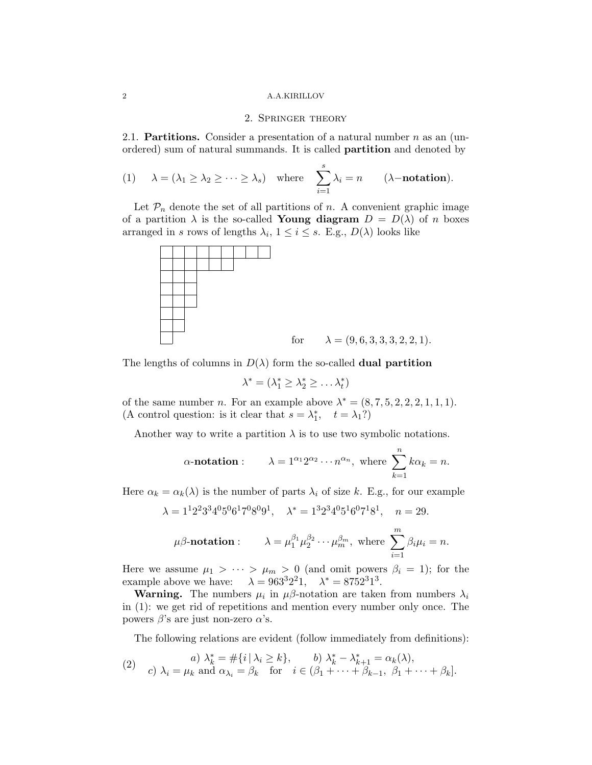#### 2 A.A.KIRILLOV

## 2. Springer theory

2.1. **Partitions.** Consider a presentation of a natural number  $n$  as an (unordered) sum of natural summands. It is called partition and denoted by

(1) 
$$
\lambda = (\lambda_1 \ge \lambda_2 \ge \cdots \ge \lambda_s)
$$
 where  $\sum_{i=1}^s \lambda_i = n$  ( $\lambda$ -notation).

Let  $\mathcal{P}_n$  denote the set of all partitions of n. A convenient graphic image of a partition  $\lambda$  is the so-called **Young diagram**  $D = D(\lambda)$  of n boxes arranged in s rows of lengths  $\lambda_i$ ,  $1 \leq i \leq s$ . E.g.,  $D(\lambda)$  looks like



The lengths of columns in  $D(\lambda)$  form the so-called **dual partition** 

$$
\lambda^* = (\lambda_1^* \geq \lambda_2^* \geq \ldots \lambda_t^*)
$$

of the same number *n*. For an example above  $\lambda^* = (8, 7, 5, 2, 2, 2, 1, 1, 1)$ . (A control question: is it clear that  $s = \lambda_1^*$ ,  $t = \lambda_1$ ?)

Another way to write a partition  $\lambda$  is to use two symbolic notations.

$$
\alpha
$$
-notation :  $\lambda = 1^{\alpha_1} 2^{\alpha_2} \cdots n^{\alpha_n}$ , where  $\sum_{k=1}^{n} k \alpha_k = n$ .

Here  $\alpha_k = \alpha_k(\lambda)$  is the number of parts  $\lambda_i$  of size k. E.g., for our example

$$
\lambda = 1^1 2^2 3^3 4^0 5^0 6^1 7^0 8^0 9^1
$$
,  $\lambda^* = 1^3 2^3 4^0 5^1 6^0 7^1 8^1$ ,  $n = 29$ .

$$
\mu\beta
$$
-notation :  $\lambda = \mu_1^{\beta_1} \mu_2^{\beta_2} \cdots \mu_m^{\beta_m}$ , where  $\sum_{i=1}^m \beta_i \mu_i = n$ .

Here we assume  $\mu_1 > \cdots > \mu_m > 0$  (and omit powers  $\beta_i = 1$ ); for the example above we have:  $\lambda = 963^3 2^2 1$ ,  $\lambda^* = 8752^3 1^3$ .

**Warning.** The numbers  $\mu_i$  in  $\mu\beta$ -notation are taken from numbers  $\lambda_i$ in (1): we get rid of repetitions and mention every number only once. The powers β's are just non-zero  $α$ 's.

The following relations are evident (follow immediately from definitions):

(2) 
$$
a) \lambda_k^* = \#\{i \mid \lambda_i \ge k\},
$$
  $b) \lambda_k^* - \lambda_{k+1}^* = \alpha_k(\lambda),$   
 $c) \lambda_i = \mu_k$  and  $\alpha_{\lambda_i} = \beta_k$  for  $i \in (\beta_1 + \cdots + \beta_{k-1}, \beta_1 + \cdots + \beta_k].$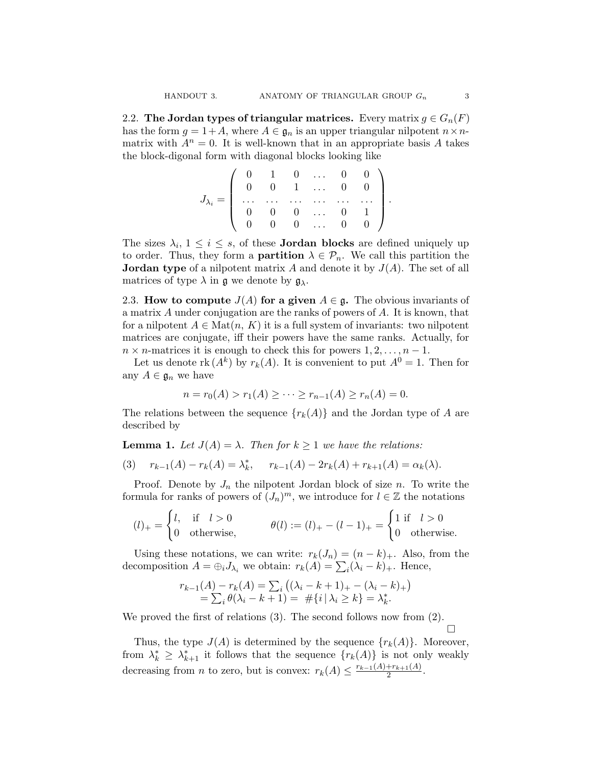2.2. The Jordan types of triangular matrices. Every matrix  $g \in G_n(F)$ has the form  $g = 1+A$ , where  $A \in \mathfrak{g}_n$  is an upper triangular nilpotent  $n \times n$ matrix with  $A^n = 0$ . It is well-known that in an appropriate basis A takes the block-digonal form with diagonal blocks looking like

$$
J_{\lambda_i}=\left(\begin{array}{ccccc} 0 & 1 & 0 & \ldots & 0 & 0 \\ 0 & 0 & 1 & \ldots & 0 & 0 \\ \ldots & \ldots & \ldots & \ldots & \ldots & \ldots \\ 0 & 0 & 0 & \ldots & 0 & 1 \\ 0 & 0 & 0 & \ldots & 0 & 0 \end{array}\right).
$$

The sizes  $\lambda_i$ ,  $1 \leq i \leq s$ , of these **Jordan blocks** are defined uniquely up to order. Thus, they form a **partition**  $\lambda \in \mathcal{P}_n$ . We call this partition the **Jordan type** of a nilpotent matrix A and denote it by  $J(A)$ . The set of all matrices of type  $\lambda$  in  $\mathfrak g$  we denote by  $\mathfrak g_\lambda$ .

2.3. How to compute  $J(A)$  for a given  $A \in \mathfrak{g}$ . The obvious invariants of a matrix A under conjugation are the ranks of powers of A. It is known, that for a nilpotent  $A \in \text{Mat}(n, K)$  it is a full system of invariants: two nilpotent matrices are conjugate, iff their powers have the same ranks. Actually, for  $n \times n$ -matrices it is enough to check this for powers  $1, 2, \ldots, n - 1$ .

Let us denote  $\text{rk}(A^k)$  by  $r_k(A)$ . It is convenient to put  $A^0 = 1$ . Then for any  $A \in \mathfrak{g}_n$  we have

$$
n = r_0(A) > r_1(A) \ge \cdots \ge r_{n-1}(A) \ge r_n(A) = 0.
$$

The relations between the sequence  ${r_k(A)}$  and the Jordan type of A are described by

**Lemma 1.** Let  $J(A) = \lambda$ . Then for  $k \geq 1$  we have the relations:

(3) 
$$
r_{k-1}(A) - r_k(A) = \lambda_k^*
$$
,  $r_{k-1}(A) - 2r_k(A) + r_{k+1}(A) = \alpha_k(\lambda)$ .

Proof. Denote by  $J_n$  the nilpotent Jordan block of size n. To write the formula for ranks of powers of  $(J_n)^m$ , we introduce for  $l \in \mathbb{Z}$  the notations

$$
(l)_{+} = \begin{cases} l, & \text{if } l > 0 \\ 0 & \text{otherwise,} \end{cases} \qquad \theta(l) := (l)_{+} - (l-1)_{+} = \begin{cases} 1 & \text{if } l > 0 \\ 0 & \text{otherwise.} \end{cases}
$$

Using these notations, we can write:  $r_k(J_n) = (n - k)_+$ . Also, from the decomposition  $A = \bigoplus_i J_{\lambda_i}$  we obtain:  $r_k(A) = \sum_i (\lambda_i - k)_+$ . Hence,

$$
r_{k-1}(A) - r_k(A) = \sum_i ((\lambda_i - k + 1)_+ - (\lambda_i - k)_+)
$$
  
=  $\sum_i \theta(\lambda_i - k + 1) = \# \{i | \lambda_i \ge k\} = \lambda_k^*.$ 

We proved the first of relations (3). The second follows now from (2).

Thus, the type  $J(A)$  is determined by the sequence  $\{r_k(A)\}\$ . Moreover, from  $\lambda_k^* \geq \lambda_{k+1}^*$  it follows that the sequence  $\{r_k(A)\}\$ is not only weakly decreasing from *n* to zero, but is convex:  $r_k(A) \leq \frac{r_{k-1}(A) + r_{k+1}(A)}{2}$  $\frac{+r_{k+1}(A)}{2}$ .

 $\Box$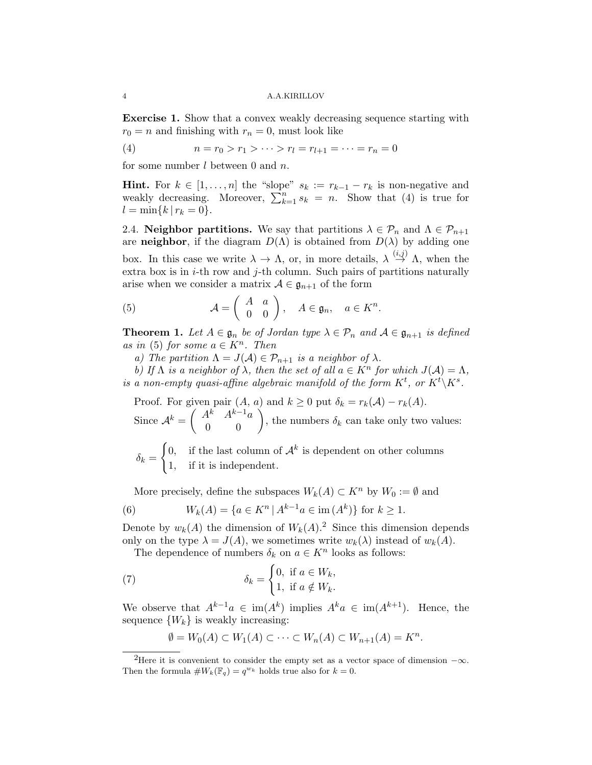Exercise 1. Show that a convex weakly decreasing sequence starting with  $r_0 = n$  and finishing with  $r_n = 0$ , must look like

(4) 
$$
n = r_0 > r_1 > \cdots > r_l = r_{l+1} = \cdots = r_n = 0
$$

for some number  $l$  between 0 and  $n$ .

**Hint.** For  $k \in [1, \ldots, n]$  the "slope"  $s_k := r_{k-1} - r_k$  is non-negative and weakly decreasing. Moreover,  $\sum_{k=1}^{n} s_k = n$ . Show that (4) is true for  $l = \min\{k \, | \, r_k = 0\}.$ 

2.4. Neighbor partitions. We say that partitions  $\lambda \in \mathcal{P}_n$  and  $\Lambda \in \mathcal{P}_{n+1}$ are **neighbor**, if the diagram  $D(\Lambda)$  is obtained from  $D(\lambda)$  by adding one box. In this case we write  $\lambda \to \Lambda$ , or, in more details,  $\lambda \stackrel{(i,j)}{\to} \Lambda$ , when the extra box is in  $i$ -th row and  $j$ -th column. Such pairs of partitions naturally arise when we consider a matrix  $A \in \mathfrak{g}_{n+1}$  of the form

(5) 
$$
\mathcal{A} = \begin{pmatrix} A & a \\ 0 & 0 \end{pmatrix}, \quad A \in \mathfrak{g}_n, \quad a \in K^n.
$$

**Theorem 1.** Let  $A \in \mathfrak{g}_n$  be of Jordan type  $\lambda \in \mathcal{P}_n$  and  $A \in \mathfrak{g}_{n+1}$  is defined as in (5) for some  $a \in K^n$ . Then

a) The partition  $\Lambda = J(\mathcal{A}) \in \mathcal{P}_{n+1}$  is a neighbor of  $\lambda$ .

b) If  $\Lambda$  is a neighbor of  $\lambda$ , then the set of all  $a \in K^n$  for which  $J(\mathcal{A}) = \Lambda$ , is a non-empty quasi-affine algebraic manifold of the form  $K^t$ , or  $K^t\backslash K^s$ .

Proof. For given pair  $(A, a)$  and  $k \ge 0$  put  $\delta_k = r_k(A) - r_k(A)$ . Since  $A^k = \begin{pmatrix} A^k & A^{k-1}a \\ 0 & 0 \end{pmatrix}$ , the numbers  $\delta_k$  can take only two values:  $\delta_k =$  $\int$ 0, if the last column of  $\mathcal{A}^k$  is dependent on other columns

1, if it is independent.

More precisely, define the subspaces  $W_k(A) \subset K^n$  by  $W_0 := \emptyset$  and

(6) 
$$
W_k(A) = \{ a \in K^n \mid A^{k-1}a \in \text{im}(A^k) \} \text{ for } k \ge 1.
$$

Denote by  $w_k(A)$  the dimension of  $W_k(A)$ .<sup>2</sup> Since this dimension depends only on the type  $\lambda = J(A)$ , we sometimes write  $w_k(\lambda)$  instead of  $w_k(A)$ .

The dependence of numbers  $\delta_k$  on  $a \in K^n$  looks as follows:

(7) 
$$
\delta_k = \begin{cases} 0, & \text{if } a \in W_k, \\ 1, & \text{if } a \notin W_k. \end{cases}
$$

We observe that  $A^{k-1}a \in \text{im}(A^k)$  implies  $A^k a \in \text{im}(A^{k+1})$ . Hence, the sequence  $\{W_k\}$  is weakly increasing:

$$
\emptyset = W_0(A) \subset W_1(A) \subset \cdots \subset W_n(A) \subset W_{n+1}(A) = K^n.
$$

<sup>&</sup>lt;sup>2</sup>Here it is convenient to consider the empty set as a vector space of dimension  $-\infty$ . Then the formula  $\#W_k(\mathbb{F}_q) = q^{w_k}$  holds true also for  $k = 0$ .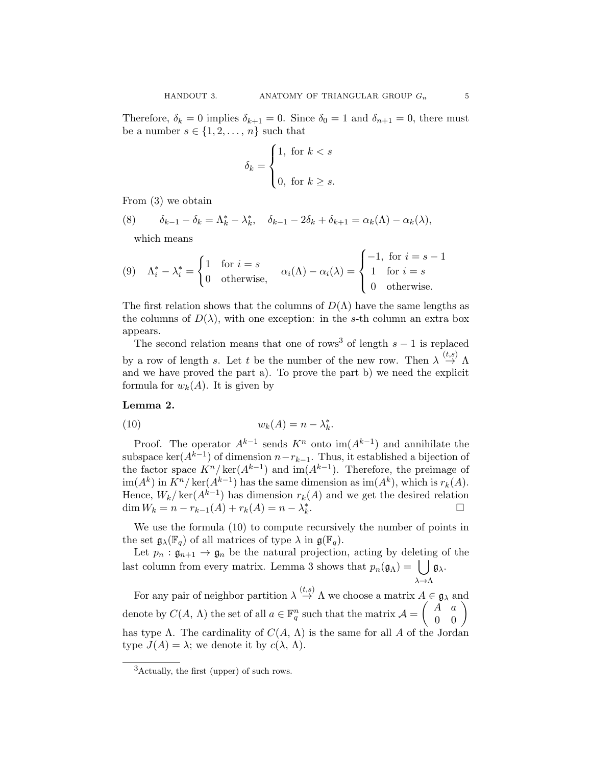Therefore,  $\delta_k = 0$  implies  $\delta_{k+1} = 0$ . Since  $\delta_0 = 1$  and  $\delta_{n+1} = 0$ , there must be a number  $s \in \{1, 2, \ldots, n\}$  such that

$$
\delta_k = \begin{cases} 1, & \text{for } k < s \\ 0, & \text{for } k \ge s. \end{cases}
$$

From (3) we obtain

(8)  $\delta_{k-1} - \delta_k = \Lambda_k^* - \lambda_k^*, \quad \delta_{k-1} - 2\delta_k + \delta_{k+1} = \alpha_k(\Lambda) - \alpha_k(\lambda),$ 

which means

(9) 
$$
\Lambda_i^* - \lambda_i^* = \begin{cases} 1 & \text{for } i = s \\ 0 & \text{otherwise,} \end{cases} \quad \alpha_i(\Lambda) - \alpha_i(\lambda) = \begin{cases} -1, & \text{for } i = s - 1 \\ 1 & \text{for } i = s \\ 0 & \text{otherwise.} \end{cases}
$$

The first relation shows that the columns of  $D(\Lambda)$  have the same lengths as the columns of  $D(\lambda)$ , with one exception: in the s-th column an extra box appears.

The second relation means that one of rows<sup>3</sup> of length  $s - 1$  is replaced by a row of length s. Let t be the number of the new row. Then  $\lambda \stackrel{(t,s)}{\rightarrow} \Lambda$ and we have proved the part a). To prove the part b) we need the explicit formula for  $w_k(A)$ . It is given by

## Lemma 2.

$$
(10) \t\t\t w_k(A) = n - \lambda_k^*.
$$

Proof. The operator  $A^{k-1}$  sends  $K^n$  onto  $\text{im}(A^{k-1})$  and annihilate the subspace ker( $A^{k-1}$ ) of dimension  $n-r_{k-1}$ . Thus, it established a bijection of the factor space  $K^{n}/\text{ker}(A^{k-1})$  and  $\text{im}(A^{k-1})$ . Therefore, the preimage of  $\text{im}(A^k)$  in  $K^n/\text{ker}(A^{k-1})$  has the same dimension as  $\text{im}(A^k)$ , which is  $r_k(A)$ . Hence,  $W_k / \text{ker}(A^{k-1})$  has dimension  $r_k(A)$  and we get the desired relation dim  $W_k = n - r_{k-1}(A) + r_k(A) = n - \lambda_k^*$ .

We use the formula (10) to compute recursively the number of points in the set  $\mathfrak{g}_{\lambda}(\mathbb{F}_q)$  of all matrices of type  $\lambda$  in  $\mathfrak{g}(\mathbb{F}_q)$ .

Let  $p_n : \mathfrak{g}_{n+1} \to \mathfrak{g}_n$  be the natural projection, acting by deleting of the last column from every matrix. Lemma 3 shows that  $p_n(\mathfrak{g}_\Lambda) = \Box$  $\lambda \rightarrow \Lambda$  $\mathfrak{g}_{\lambda}$ .

For any pair of neighbor partition  $\lambda \stackrel{(t,s)}{\rightarrow} \Lambda$  we choose a matrix  $A \in \mathfrak{g}_{\lambda}$  and denote by  $C(A, \Lambda)$  the set of all  $a \in \mathbb{F}_q^n$  such that the matrix  $\mathcal{A} = \begin{pmatrix} A & a \\ 0 & 0 \end{pmatrix}$ has type  $\Lambda$ . The cardinality of  $C(A, \Lambda)$  is the same for all A of the Jordan type  $J(A) = \lambda$ ; we denote it by  $c(\lambda, \Lambda)$ .

<sup>3</sup>Actually, the first (upper) of such rows.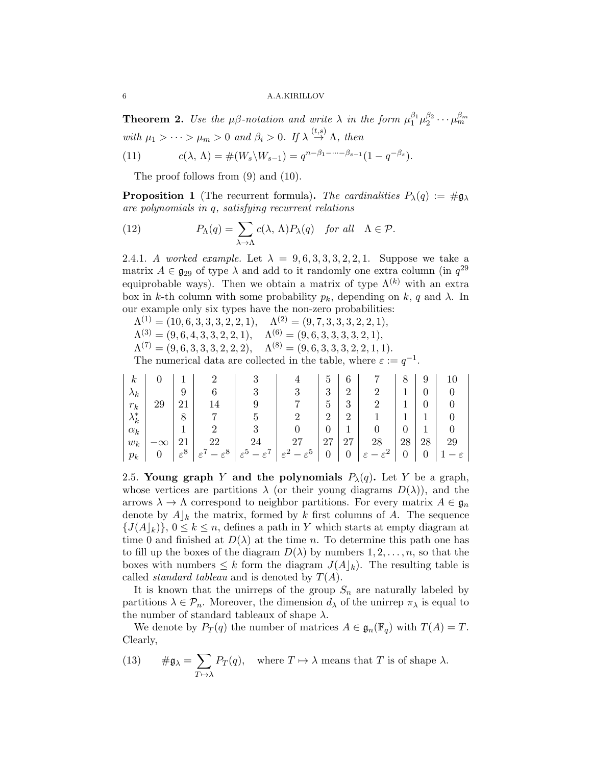6 A.A.KIRILLOV

**Theorem 2.** Use the  $\mu\beta$ -notation and write  $\lambda$  in the form  $\mu_1^{\beta_1}\mu_2^{\beta_2}\cdots\mu_m^{\beta_m}$ with  $\mu_1 > \cdots > \mu_m > 0$  and  $\beta_i > 0$ . If  $\lambda \stackrel{(t,s)}{\rightarrow} \Lambda$ , then

(11) 
$$
c(\lambda, \Lambda) = \#(W_s \backslash W_{s-1}) = q^{n-\beta_1 - \dots - \beta_{s-1}} (1 - q^{-\beta_s}).
$$

The proof follows from (9) and (10).

**Proposition 1** (The recurrent formula). The cardinalities  $P_{\lambda}(q) := \#\mathfrak{g}_{\lambda}$ are polynomials in q, satisfying recurrent relations

(12) 
$$
P_{\Lambda}(q) = \sum_{\lambda \to \Lambda} c(\lambda, \Lambda) P_{\lambda}(q) \text{ for all } \Lambda \in \mathcal{P}.
$$

2.4.1. A worked example. Let  $\lambda = 9, 6, 3, 3, 3, 2, 2, 1$ . Suppose we take a matrix  $A \in \mathfrak{g}_{29}$  of type  $\lambda$  and add to it randomly one extra column (in  $q^{29}$ equiprobable ways). Then we obtain a matrix of type  $\Lambda^{(k)}$  with an extra box in k-th column with some probability  $p_k$ , depending on k, q and  $\lambda$ . In our example only six types have the non-zero probabilities:

 $\Lambda^{(1)} = (10, 6, 3, 3, 3, 2, 2, 1), \quad \Lambda^{(2)} = (9, 7, 3, 3, 3, 2, 2, 1),$ 

 $\Lambda^{(3)} = (9,6,4,3,3,2,2,1), \quad \Lambda^{(6)} = (9,6,3,3,3,3,2,1),$ 

 $\Lambda^{(7)} = (9,6,3,3,3,2,2,2), \quad \Lambda^{(8)} = (9,6,3,3,3,2,2,1,1).$ 

The numerical data are collected in the table, where  $\varepsilon := q^{-1}$ .

| $\kappa$      |    |                 |                                       |                                       |                                       | G              | 6                |                                  |    |    |                |
|---------------|----|-----------------|---------------------------------------|---------------------------------------|---------------------------------------|----------------|------------------|----------------------------------|----|----|----------------|
| $\lambda_k$   |    | 9               |                                       | 9                                     |                                       | 3              | $\overline{2}$   |                                  |    |    |                |
| $r_k$         | 29 | 21              |                                       |                                       |                                       | Ð              | 3                |                                  |    |    |                |
| $\lambda_k^*$ |    | 8               |                                       |                                       |                                       | റ              | $\overline{2}$   |                                  |    |    |                |
| $\alpha_k$    |    |                 |                                       |                                       |                                       |                |                  |                                  |    |    |                |
| $w_k$         |    |                 | 22                                    |                                       | 27                                    | 27             | 27               | 28                               | 28 | 28 | 29             |
| $p_k$         |    | $\varepsilon^8$ | $-\varepsilon^{8}$<br>$\varepsilon^7$ | $-\varepsilon^7$<br>$\varepsilon^5$ . | $-\varepsilon^{5}$<br>$\varepsilon^2$ | $\overline{0}$ | $\boldsymbol{0}$ | $\Omega$<br>$\varepsilon^2$<br>ε |    |    | $ \varepsilon$ |

2.5. Young graph Y and the polynomials  $P_{\lambda}(q)$ . Let Y be a graph, whose vertices are partitions  $\lambda$  (or their young diagrams  $D(\lambda)$ ), and the arrows  $\lambda \to \Lambda$  correspond to neighbor partitions. For every matrix  $A \in \mathfrak{g}_n$ denote by  $A|_k$  the matrix, formed by k first columns of A. The sequence  ${J(A|_k)}$ ,  $0 \le k \le n$ , defines a path in Y which starts at empty diagram at time 0 and finished at  $D(\lambda)$  at the time n. To determine this path one has to fill up the boxes of the diagram  $D(\lambda)$  by numbers  $1, 2, \ldots, n$ , so that the boxes with numbers  $\leq k$  form the diagram  $J(A|_k)$ . The resulting table is called *standard tableau* and is denoted by  $T(A)$ .

It is known that the unirreps of the group  $S_n$  are naturally labeled by partitions  $\lambda \in \mathcal{P}_n$ . Moreover, the dimension  $d_{\lambda}$  of the unirrep  $\pi_{\lambda}$  is equal to the number of standard tableaux of shape  $\lambda$ .

We denote by  $P_T(q)$  the number of matrices  $A \in \mathfrak{g}_n(\mathbb{F}_q)$  with  $T(A) = T$ . Clearly,

(13) 
$$
\# \mathfrak{g}_{\lambda} = \sum_{T \mapsto \lambda} P_T(q), \quad \text{where } T \mapsto \lambda \text{ means that } T \text{ is of shape } \lambda.
$$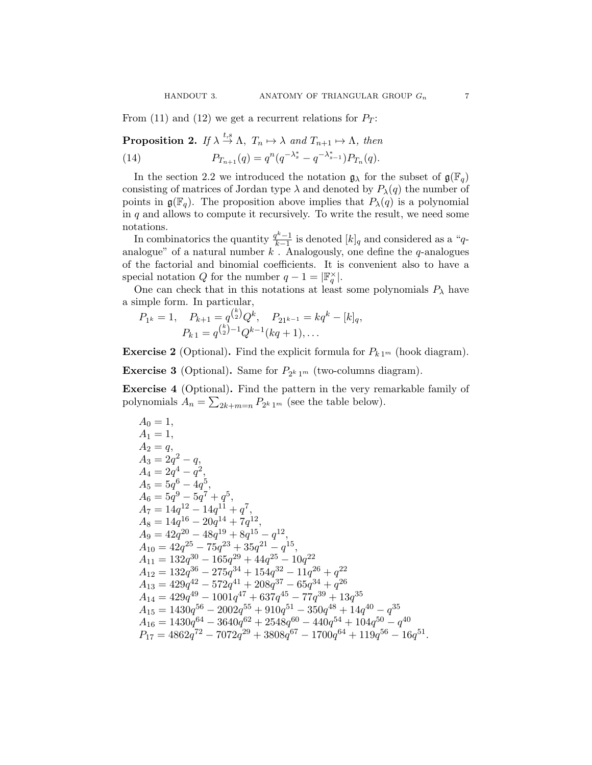From (11) and (12) we get a recurrent relations for  $P_T$ :

**Proposition 2.** If  $\lambda \stackrel{t,s}{\rightarrow} \Lambda$ ,  $T_n \mapsto \lambda$  and  $T_{n+1} \mapsto \Lambda$ , then

(14)  $P_{T_{n+1}}(q) = q^n (q^{-\lambda_s^*} - q^{-\lambda_{s-1}^*}) P_{T_n}(q).$ 

In the section 2.2 we introduced the notation  $\mathfrak{g}_{\lambda}$  for the subset of  $\mathfrak{g}(\mathbb{F}_q)$ consisting of matrices of Jordan type  $\lambda$  and denoted by  $P_{\lambda}(q)$  the number of points in  $\mathfrak{g}(\mathbb{F}_q)$ . The proposition above implies that  $P_\lambda(q)$  is a polynomial in  $q$  and allows to compute it recursively. To write the result, we need some notations.

In combinatorics the quantity  $\frac{q^k-1}{k-1}$  $\frac{T^2-1}{k-1}$  is denoted  $[k]_q$  and considered as a "qanalogue" of a natural number  $k$ . Analogously, one define the  $q$ -analogues of the factorial and binomial coefficients. It is convenient also to have a special notation Q for the number  $q - 1 = |\mathbb{F}_q^{\times}|$ .

One can check that in this notations at least some polynomials  $P_{\lambda}$  have a simple form. In particular,

$$
P_{1^k} = 1, \quad P_{k+1} = q^{\binom{k}{2}} Q^k, \quad P_{21^{k-1}} = kq^k - [k]_q,
$$
  

$$
P_{k1} = q^{\binom{k}{2}-1} Q^{k-1} (kq+1), \dots
$$

**Exercise 2** (Optional). Find the explicit formula for  $P_{k,1^m}$  (hook diagram).

**Exercise 3** (Optional). Same for  $P_{2^k 1^m}$  (two-columns diagram).

Exercise 4 (Optional). Find the pattern in the very remarkable family of polynomials  $A_n = \sum_{2k+m=n} P_{2^k 1^m}$  (see the table below).

$$
\begin{array}{l} A_0=1,\\ A_1=1,\\ A_2=q,\\ A_3=2q^2-q,\\ A_4=2q^4-q^2,\\ A_5=5q^6-4q^5,\\ A_6=5q^9-5q^7+q^5,\\ A_7=14q^{12}-14q^{11}+q^7,\\ A_8=14q^{16}-20q^{14}+7q^{12},\\ A_9=42q^{20}-48q^{19}+8q^{15}-q^{12},\\ A_{10}=42q^{25}-75q^{23}+35q^{21}-q^{15},\\ A_{11}=132q^{30}-165q^{29}+44q^{25}-10q^{22}\\ A_{12}=132q^{36}-275q^{34}+154q^{32}-11q^{26}+q^{22}\\ A_{13}=429q^{42}-572q^{41}+208q^{37}-65q^{34}+q^{26}\\ A_{14}=429q^{49}-1001q^{47}+637q^{45}-77q^{39}+13q^{35}\\ A_{15}=1430q^{56}-2002q^{55}+910q^{51}-350q^{48}+14q^{40}-q^{35}\\ A_{16}=1430q^{64}-3640q^{62}+2548q^{60}-440q^{54}+104q^{50}-q^{40}\\ P_{17}=4862q^{72}-7072q^{29}+3808q^{67}-1700q^{64}+119q^{56}-16q^{51}.\end{array}
$$